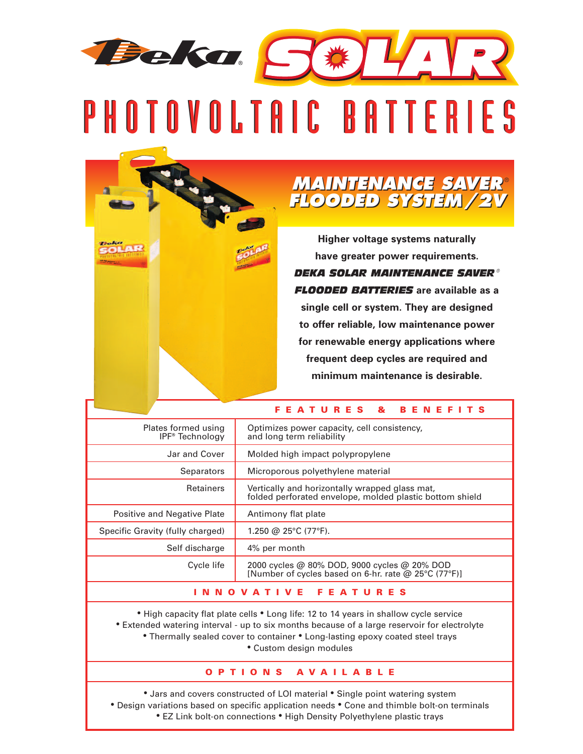## Beka S#14 PHOTOVOLTAIC BATTERIES

## *MAINTENANCE SAVER FLOODED SYSTEM/2V MAINTENANCE SAVER FLOODED SYSTEM/2V* ®

**Higher voltage systems naturally have greater power requirements.** *DEKA SOLAR MAINTENANCE SAVER ® FLOODED BATTERIES* **are available as a single cell or system. They are designed to offer reliable, low maintenance power for renewable energy applications where frequent deep cycles are required and minimum maintenance is desirable.**

**F E A T U R E S & B E N E F I T S**

|                                                    | <u>.</u>                                                                                                   |  |  |  |
|----------------------------------------------------|------------------------------------------------------------------------------------------------------------|--|--|--|
| Plates formed using<br>IPF <sup>®</sup> Technology | Optimizes power capacity, cell consistency,<br>and long term reliability                                   |  |  |  |
| Jar and Cover                                      | Molded high impact polypropylene                                                                           |  |  |  |
| <b>Separators</b>                                  | Microporous polyethylene material                                                                          |  |  |  |
| <b>Retainers</b>                                   | Vertically and horizontally wrapped glass mat,<br>folded perforated envelope, molded plastic bottom shield |  |  |  |
| Positive and Negative Plate                        | Antimony flat plate                                                                                        |  |  |  |
| Specific Gravity (fully charged)                   | 1.250 @ 25°C (77°F).                                                                                       |  |  |  |
| Self discharge                                     | 4% per month                                                                                               |  |  |  |
| Cycle life                                         | 2000 cycles @ 80% DOD, 9000 cycles @ 20% DOD<br>[Number of cycles based on 6-hr. rate @ 25°C (77°F)]       |  |  |  |
| Е.<br>F.<br>A                                      |                                                                                                            |  |  |  |

• High capacity flat plate cells • Long life: 12 to 14 years in shallow cycle service • Extended watering interval - up to six months because of a large reservoir for electrolyte • Thermally sealed cover to container • Long-lasting epoxy coated steel trays • Custom design modules

## **O P T I O N S A V A I L A B L E**

• Jars and covers constructed of LOI material • Single point watering system • Design variations based on specific application needs • Cone and thimble bolt-on terminals • EZ Link bolt-on connections • High Density Polyethylene plastic trays